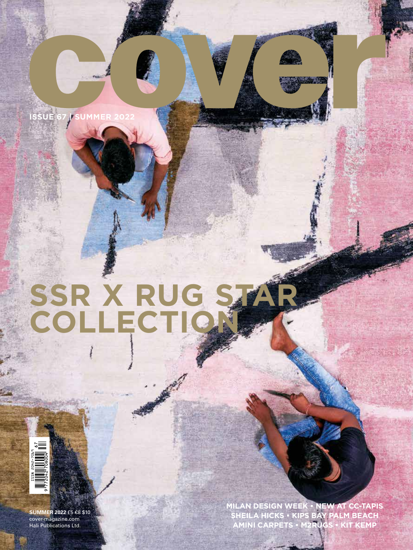SUE 67 <mark>| SUMM</mark>

# **SSR X RUG STAR COLLECTION**



**SUMMER 2022** £5 €8 \$10 cover-magazine.com Hali Publications Ltd.

**MILAN DESIGN WEEK • NEW AT CC-TAPIS SHEILA HICKS • KIPS BAY PALM BEACH AMINI CARPETS • M2RUGS • KIT KEMP**